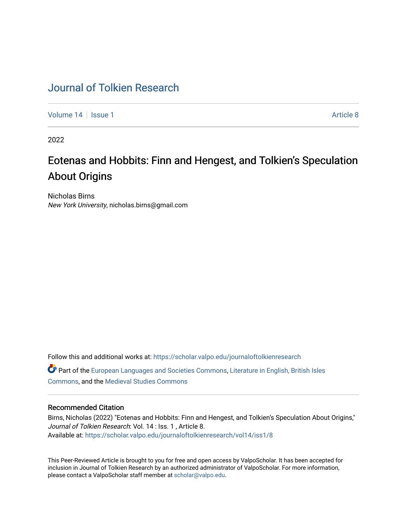## [Journal of Tolkien Research](https://scholar.valpo.edu/journaloftolkienresearch)

[Volume 14](https://scholar.valpo.edu/journaloftolkienresearch/vol14) | [Issue 1](https://scholar.valpo.edu/journaloftolkienresearch/vol14/iss1) Article 8

2022

# Eotenas and Hobbits: Finn and Hengest, and Tolkien's Speculation About Origins

Nicholas Birns New York University, nicholas.birns@gmail.com

Follow this and additional works at: [https://scholar.valpo.edu/journaloftolkienresearch](https://scholar.valpo.edu/journaloftolkienresearch?utm_source=scholar.valpo.edu%2Fjournaloftolkienresearch%2Fvol14%2Fiss1%2F8&utm_medium=PDF&utm_campaign=PDFCoverPages)  Part of the [European Languages and Societies Commons,](http://network.bepress.com/hgg/discipline/482?utm_source=scholar.valpo.edu%2Fjournaloftolkienresearch%2Fvol14%2Fiss1%2F8&utm_medium=PDF&utm_campaign=PDFCoverPages) [Literature in English, British Isles](http://network.bepress.com/hgg/discipline/456?utm_source=scholar.valpo.edu%2Fjournaloftolkienresearch%2Fvol14%2Fiss1%2F8&utm_medium=PDF&utm_campaign=PDFCoverPages)  [Commons](http://network.bepress.com/hgg/discipline/456?utm_source=scholar.valpo.edu%2Fjournaloftolkienresearch%2Fvol14%2Fiss1%2F8&utm_medium=PDF&utm_campaign=PDFCoverPages), and the [Medieval Studies Commons](http://network.bepress.com/hgg/discipline/480?utm_source=scholar.valpo.edu%2Fjournaloftolkienresearch%2Fvol14%2Fiss1%2F8&utm_medium=PDF&utm_campaign=PDFCoverPages)

### Recommended Citation

Birns, Nicholas (2022) "Eotenas and Hobbits: Finn and Hengest, and Tolkien's Speculation About Origins," Journal of Tolkien Research: Vol. 14 : Iss. 1 , Article 8. Available at: [https://scholar.valpo.edu/journaloftolkienresearch/vol14/iss1/8](https://scholar.valpo.edu/journaloftolkienresearch/vol14/iss1/8?utm_source=scholar.valpo.edu%2Fjournaloftolkienresearch%2Fvol14%2Fiss1%2F8&utm_medium=PDF&utm_campaign=PDFCoverPages) 

This Peer-Reviewed Article is brought to you for free and open access by ValpoScholar. It has been accepted for inclusion in Journal of Tolkien Research by an authorized administrator of ValpoScholar. For more information, please contact a ValpoScholar staff member at [scholar@valpo.edu](mailto:scholar@valpo.edu).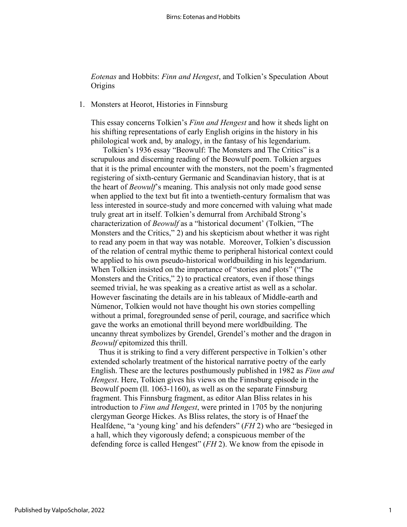*Eotenas* and Hobbits: *Finn and Hengest*, and Tolkien's Speculation About **Origins** 

#### 1. Monsters at Heorot, Histories in Finnsburg

This essay concerns Tolkien's *Finn and Hengest* and how it sheds light on his shifting representations of early English origins in the history in his philological work and, by analogy, in the fantasy of his legendarium.

 Tolkien's 1936 essay "Beowulf: The Monsters and The Critics" is a scrupulous and discerning reading of the Beowulf poem. Tolkien argues that it is the primal encounter with the monsters, not the poem's fragmented registering of sixth-century Germanic and Scandinavian history, that is at the heart of *Beowulf*'s meaning. This analysis not only made good sense when applied to the text but fit into a twentieth-century formalism that was less interested in source-study and more concerned with valuing what made truly great art in itself. Tolkien's demurral from Archibald Strong's characterization of *Beowulf* as a "historical document' (Tolkien, "The Monsters and the Critics," 2) and his skepticism about whether it was right to read any poem in that way was notable. Moreover, Tolkien's discussion of the relation of central mythic theme to peripheral historical context could be applied to his own pseudo-historical worldbuilding in his legendarium. When Tolkien insisted on the importance of "stories and plots" ("The Monsters and the Critics," 2) to practical creators, even if those things seemed trivial, he was speaking as a creative artist as well as a scholar. However fascinating the details are in his tableaux of Middle-earth and Númenor, Tolkien would not have thought his own stories compelling without a primal, foregrounded sense of peril, courage, and sacrifice which gave the works an emotional thrill beyond mere worldbuilding. The uncanny threat symbolizes by Grendel, Grendel's mother and the dragon in *Beowulf* epitomized this thrill.

 Thus it is striking to find a very different perspective in Tolkien's other extended scholarly treatment of the historical narrative poetry of the early English. These are the lectures posthumously published in 1982 as *Finn and Hengest*. Here, Tolkien gives his views on the Finnsburg episode in the Beowulf poem (ll. 1063-1160), as well as on the separate Finnsburg fragment. This Finnsburg fragment, as editor Alan Bliss relates in his introduction to *Finn and Hengest*, were printed in 1705 by the nonjuring clergyman George Hickes. As Bliss relates, the story is of Hnaef the Healfdene, "a 'young king' and his defenders" (*FH* 2) who are "besieged in a hall, which they vigorously defend; a conspicuous member of the defending force is called Hengest" (*FH* 2). We know from the episode in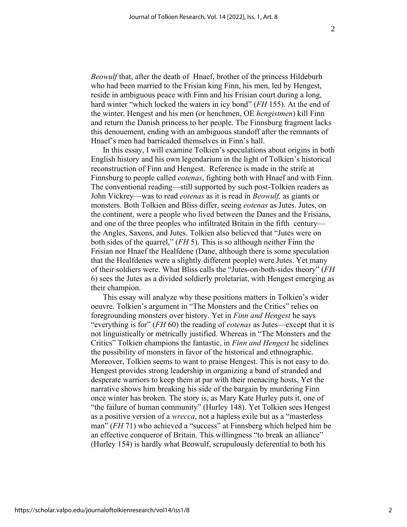*Beowulf* that, after the death of Hnaef, brother of the princess Hildeburh who had been married to the Frisian king Finn, his men, led by Hengest, reside in ambiguous peace with Finn and his Frisian court during a long, hard winter "which locked the waters in icy bond" (*FH* 155). At the end of the winter, Hengest and his men (or henchmen, OE *hengistmen*) kill Finn and return the Danish princess to her people. The Finnsburg fragment lacks this denouement, ending with an ambiguous standoff after the remnants of Hnaef's men had barricaded themselves in Finn's hall.

 In this essay, I will examine Tolkien's speculations about origins in both English history and his own legendarium in the light of Tolkien's historical reconstruction of Finn and Hengest. Reference is made in the strife at Finnsburg to people called *eotenas*, fighting both with Hnaef and with Finn. The conventional reading—still supported by such post-Tolkien readers as John Vickrey—was to read *eotenas* as it is read in *Beowulf,* as giants or monsters. Both Tolkien and Bliss differ, seeing *eotenas* as Jutes. Jutes, on the continent, were a people who lived between the Danes and the Frisians, and one of the three peoples who infiltrated Britain in the fifth century the Angles, Saxons, and Jutes. Tolkien also believed that "Jutes were on both sides of the quarrel," (*FH* 5). This is so although neither Finn the Frisian nor Hnaef the Healfdene (Dane, although there is some speculation that the Healfdenes were a slightly different people) were Jutes. Yet many of their soldiers were. What Bliss calls the "Jutes-on-both-sides theory" (*FH* 6) sees the Jutes as a divided soldierly proletariat, with Hengest emerging as their champion.

 This essay will analyze why these positions matters in Tolkien's wider oeuvre. Tolkien's argument in "The Monsters and the Critics" relies on foregrounding monsters over history. Yet in *Finn and Hengest* he says "everything is for" (*FH* 60) the reading of *eotenas* as Jutes—except that it is not linguistically or metrically justified. Whereas in "The Monsters and the Critics" Tolkien champions the fantastic, in *Finn and Hengest* he sidelines the possibility of monsters in favor of the historical and ethnographic. Moreover, Tolkien seems to want to praise Hengest. This is not easy to do. Hengest provides strong leadership in organizing a band of stranded and desperate warriors to keep them at par with their menacing hosts, Yet the narrative shows him breaking his side of the bargain by murdering Finn once winter has broken. The story is, as Mary Kate Hurley puts it, one of "the failure of human community" (Hurley 148). Yet Tolkien sees Hengest as a positive version of a *wrecca*, not a hapless exile but as a "masterless man" (*FH* 71) who achieved a "success" at Finnsberg which helped him be an effective conqueror of Britain. This willingness "to break an alliance" (Hurley 154) is hardly what Beowulf, scrupulously deferential to both his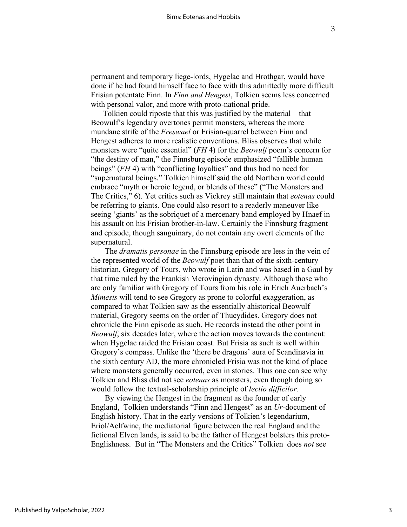permanent and temporary liege-lords, Hygelac and Hrothgar, would have done if he had found himself face to face with this admittedly more difficult Frisian potentate Finn. In *Finn and Hengest*, Tolkien seems less concerned with personal valor, and more with proto-national pride.

 Tolkien could riposte that this was justified by the material—that Beowulf's legendary overtones permit monsters, whereas the more mundane strife of the *Freswael* or Frisian-quarrel between Finn and Hengest adheres to more realistic conventions. Bliss observes that while monsters were "quite essential" (*FH* 4) for the *Beowulf* poem's concern for "the destiny of man," the Finnsburg episode emphasized "fallible human beings" (*FH* 4) with "conflicting loyalties" and thus had no need for "supernatural beings." Tolkien himself said the old Northern world could embrace "myth or heroic legend, or blends of these" ("The Monsters and The Critics," 6). Yet critics such as Vickrey still maintain that *eotenas* could be referring to giants. One could also resort to a readerly maneuver like seeing 'giants' as the sobriquet of a mercenary band employed by Hnaef in his assault on his Frisian brother-in-law. Certainly the Finnsburg fragment and episode, though sanguinary, do not contain any overt elements of the supernatural.

 The *dramatis personae* in the Finnsburg episode are less in the vein of the represented world of the *Beowulf* poet than that of the sixth-century historian, Gregory of Tours, who wrote in Latin and was based in a Gaul by that time ruled by the Frankish Merovingian dynasty. Although those who are only familiar with Gregory of Tours from his role in Erich Auerbach's *Mimesis* will tend to see Gregory as prone to colorful exaggeration, as compared to what Tolkien saw as the essentially ahistorical Beowulf material, Gregory seems on the order of Thucydides. Gregory does not chronicle the Finn episode as such. He records instead the other point in *Beowulf*, six decades later, where the action moves towards the continent: when Hygelac raided the Frisian coast. But Frisia as such is well within Gregory's compass. Unlike the 'there be dragons' aura of Scandinavia in the sixth century AD, the more chronicled Frisia was not the kind of place where monsters generally occurred, even in stories. Thus one can see why Tolkien and Bliss did not see *eotenas* as monsters, even though doing so would follow the textual-scholarship principle of *lectio difficilor.* 

 By viewing the Hengest in the fragment as the founder of early England, Tolkien understands "Finn and Hengest" as an *Ur-*document of English history. That in the early versions of Tolkien's legendarium, Eriol/Aelfwine, the mediatorial figure between the real England and the fictional Elven lands, is said to be the father of Hengest bolsters this proto-Englishness. But in "The Monsters and the Critics" Tolkien does *not* see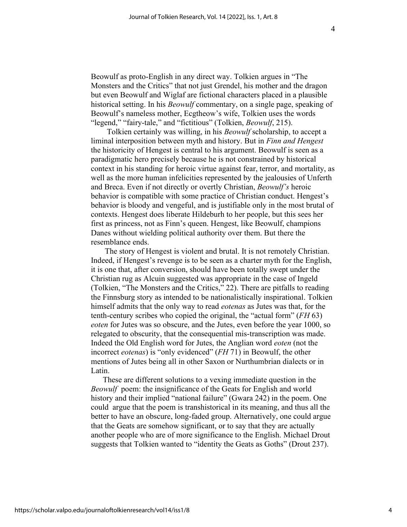Beowulf as proto-English in any direct way. Tolkien argues in "The Monsters and the Critics" that not just Grendel, his mother and the dragon but even Beowulf and Wiglaf are fictional characters placed in a plausible historical setting. In his *Beowulf* commentary, on a single page, speaking of Beowulf's nameless mother, Ecgtheow's wife, Tolkien uses the words "legend," "fairy-tale," and "fictitious" (Tolkien, *Beowulf*, 215).

 Tolkien certainly was willing, in his *Beowulf* scholarship, to accept a liminal interposition between myth and history. But in *Finn and Hengest* the historicity of Hengest is central to his argument. Beowulf is seen as a paradigmatic hero precisely because he is not constrained by historical context in his standing for heroic virtue against fear, terror, and mortality, as well as the more human infelicities represented by the jealousies of Unferth and Breca. Even if not directly or overtly Christian, *Beowulf's* heroic behavior is compatible with some practice of Christian conduct. Hengest's behavior is bloody and vengeful, and is justifiable only in the most brutal of contexts. Hengest does liberate Hildeburh to her people, but this sees her first as princess, not as Finn's queen. Hengest, like Beowulf, champions Danes without wielding political authority over them. But there the resemblance ends.

 The story of Hengest is violent and brutal. It is not remotely Christian. Indeed, if Hengest's revenge is to be seen as a charter myth for the English, it is one that, after conversion, should have been totally swept under the Christian rug as Alcuin suggested was appropriate in the case of Ingeld (Tolkien, "The Monsters and the Critics," 22). There are pitfalls to reading the Finnsburg story as intended to be nationalistically inspirational. Tolkien himself admits that the only way to read *eotenas* as Jutes was that, for the tenth-century scribes who copied the original, the "actual form" (*FH* 63) *eoten* for Jutes was so obscure, and the Jutes, even before the year 1000, so relegated to obscurity, that the consequential mis-transcription was made. Indeed the Old English word for Jutes, the Anglian word *eoten* (not the incorrect *eotenas*) is "only evidenced" (*FH* 71) in Beowulf, the other mentions of Jutes being all in other Saxon or Nurthumbrian dialects or in Latin.

 These are different solutions to a vexing immediate question in the *Beowulf* poem: the insignificance of the Geats for English and world history and their implied "national failure" (Gwara 242) in the poem. One could argue that the poem is transhistorical in its meaning, and thus all the better to have an obscure, long-faded group. Alternatively, one could argue that the Geats are somehow significant, or to say that they are actually another people who are of more significance to the English. Michael Drout suggests that Tolkien wanted to "identity the Geats as Goths" (Drout 237).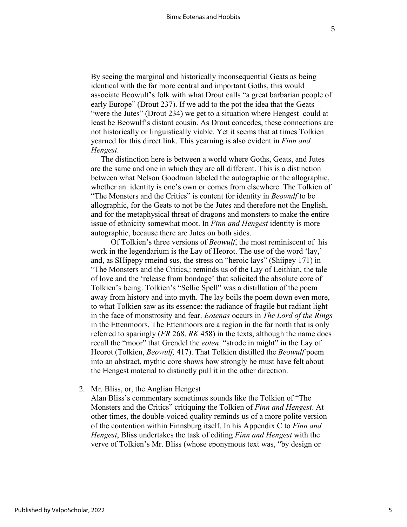By seeing the marginal and historically inconsequential Geats as being identical with the far more central and important Goths, this would associate Beowulf's folk with what Drout calls "a great barbarian people of early Europe" (Drout 237). If we add to the pot the idea that the Geats "were the Jutes" (Drout 234) we get to a situation where Hengest could at least be Beowulf's distant cousin. As Drout concedes, these connections are not historically or linguistically viable. Yet it seems that at times Tolkien yearned for this direct link. This yearning is also evident in *Finn and Hengest*.

 The distinction here is between a world where Goths, Geats, and Jutes are the same and one in which they are all different. This is a distinction between what Nelson Goodman labeled the autographic or the allographic, whether an identity is one's own or comes from elsewhere. The Tolkien of "The Monsters and the Critics" is content for identity in *Beowulf* to be allographic, for the Geats to not be the Jutes and therefore not the English, and for the metaphysical threat of dragons and monsters to make the entire issue of ethnicity somewhat moot. In *Finn and Hengest* identity is more autographic, because there are Jutes on both sides.

 Of Tolkien's three versions of *Beowulf*, the most reminiscent of his work in the legendarium is the Lay of Heorot. The use of the word 'lay,' and, as SHipepy rmeind sus, the stress on "heroic lays" (Shiipey 171) in "The Monsters and the Critics,: reminds us of the Lay of Leithian, the tale of love and the 'release from bondage' that solicited the absolute core of Tolkien's being. Tolkien's "Sellic Spell" was a distillation of the poem away from history and into myth. The lay boils the poem down even more, to what Tolkien saw as its essence: the radiance of fragile but radiant light in the face of monstrosity and fear. *Eotenas* occurs in *The Lord of the Rings* in the Ettenmoors. The Ettenmoors are a region in the far north that is only referred to sparingly (*FR* 268, *RK* 458) in the texts, although the name does recall the "moor" that Grendel the *eoten* "strode in might" in the Lay of Heorot (Tolkien, *Beowulf,* 417). That Tolkien distilled the *Beowulf* poem into an abstract, mythic core shows how strongly he must have felt about the Hengest material to distinctly pull it in the other direction.

2. Mr. Bliss, or, the Anglian Hengest

Alan Bliss's commentary sometimes sounds like the Tolkien of "The Monsters and the Critics" critiquing the Tolkien of *Finn and Hengest*. At other times, the double-voiced quality reminds us of a more polite version of the contention within Finnsburg itself. In his Appendix C to *Finn and Hengest*, Bliss undertakes the task of editing *Finn and Hengest* with the verve of Tolkien's Mr. Bliss (whose eponymous text was, "by design or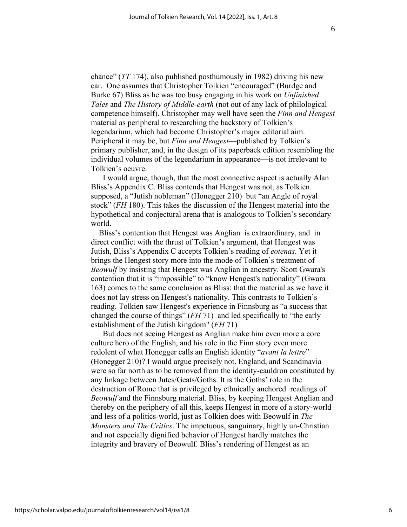chance" (*TT* 174), also published posthumously in 1982) driving his new car. One assumes that Christopher Tolkien "encouraged" (Burdge and Burke 67) Bliss as he was too busy engaging in his work on *Unfinished Tales* and *The History of Middle-earth* (not out of any lack of philological competence himself). Christopher may well have seen the *Finn and Hengest*  material as peripheral to researching the backstory of Tolkien's legendarium, which had become Christopher's major editorial aim. Peripheral it may be, but *Finn and Hengest*—published by Tolkien's primary publisher, and, in the design of its paperback edition resembling the individual volumes of the legendarium in appearance—is not irrelevant to Tolkien's oeuvre.

 I would argue, though, that the most connective aspect is actually Alan Bliss's Appendix C. Bliss contends that Hengest was not, as Tolkien supposed, a "Jutish nobleman" (Honegger 210) but "an Angle of royal stock" (*FH* 180). This takes the discussion of the Hengest material into the hypothetical and conjectural arena that is analogous to Tolkien's secondary world.

Bliss's contention that Hengest was Anglian is extraordinary, and in direct conflict with the thrust of Tolkien's argument, that Hengest was Jutish, Bliss's Appendix C accepts Tolkien's reading of *eotenas*. Yet it brings the Hengest story more into the mode of Tolkien's treatment of *Beowulf* by insisting that Hengest was Anglian in ancestry. Scott Gwara's contention that it is "impossible" to "know Hengest's nationality" (Gwara 163) comes to the same conclusion as Bliss: that the material as we have it does not lay stress on Hengest's nationality. This contrasts to Tolkien's reading. Tolkien saw Hengest's experience in Finnsburg as "a success that changed the course of things" (*FH* 71) and led specifically to "the early establishment of the Jutish kingdom" (*FH* 71)

 But does not seeing Hengest as Anglian make him even more a core culture hero of the English, and his role in the Finn story even more redolent of what Honegger calls an English identity "*avant la lettre*" (Honegger 210)? I would argue precisely not. England, and Scandinavia were so far north as to be removed from the identity-cauldron constituted by any linkage between Jutes/Geats/Goths. It is the Goths' role in the destruction of Rome that is privileged by ethnically anchored readings of *Beowulf* and the Finnsburg material. Bliss, by keeping Hengest Anglian and thereby on the periphery of all this, keeps Hengest in more of a story-world and less of a politics-world, just as Tolkien does with Beowulf in *The Monsters and The Critics*. The impetuous, sanguinary, highly un-Christian and not especially dignified behavior of Hengest hardly matches the integrity and bravery of Beowulf. Bliss's rendering of Hengest as an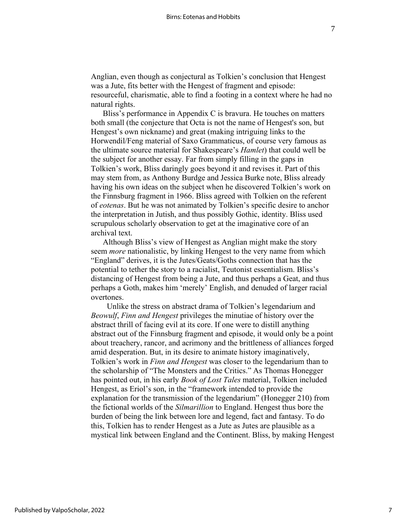Anglian, even though as conjectural as Tolkien's conclusion that Hengest was a Jute, fits better with the Hengest of fragment and episode: resourceful, charismatic, able to find a footing in a context where he had no natural rights.

 Bliss's performance in Appendix C is bravura. He touches on matters both small (the conjecture that Octa is not the name of Hengest's son, but Hengest's own nickname) and great (making intriguing links to the Horwendil/Feng material of Saxo Grammaticus, of course very famous as the ultimate source material for Shakespeare's *Hamlet*) that could well be the subject for another essay. Far from simply filling in the gaps in Tolkien's work, Bliss daringly goes beyond it and revises it. Part of this may stem from, as Anthony Burdge and Jessica Burke note, Bliss already having his own ideas on the subject when he discovered Tolkien's work on the Finnsburg fragment in 1966. Bliss agreed with Tolkien on the referent of *eotenas*. But he was not animated by Tolkien's specific desire to anchor the interpretation in Jutish, and thus possibly Gothic, identity. Bliss used scrupulous scholarly observation to get at the imaginative core of an archival text.

 Although Bliss's view of Hengest as Anglian might make the story seem *more* nationalistic, by linking Hengest to the very name from which "England" derives, it is the Jutes/Geats/Goths connection that has the potential to tether the story to a racialist, Teutonist essentialism. Bliss's distancing of Hengest from being a Jute, and thus perhaps a Geat, and thus perhaps a Goth, makes him 'merely' English, and denuded of larger racial overtones.

 Unlike the stress on abstract drama of Tolkien's legendarium and *Beowulf*, *Finn and Hengest* privileges the minutiae of history over the abstract thrill of facing evil at its core. If one were to distill anything abstract out of the Finnsburg fragment and episode, it would only be a point about treachery, rancor, and acrimony and the brittleness of alliances forged amid desperation. But, in its desire to animate history imaginatively, Tolkien's work in *Finn and Hengest* was closer to the legendarium than to the scholarship of "The Monsters and the Critics." As Thomas Honegger has pointed out, in his early *Book of Lost Tales* material, Tolkien included Hengest, as Eriol's son, in the "framework intended to provide the explanation for the transmission of the legendarium" (Honegger 210) from the fictional worlds of the *Silmarillion* to England. Hengest thus bore the burden of being the link between lore and legend, fact and fantasy. To do this, Tolkien has to render Hengest as a Jute as Jutes are plausible as a mystical link between England and the Continent. Bliss, by making Hengest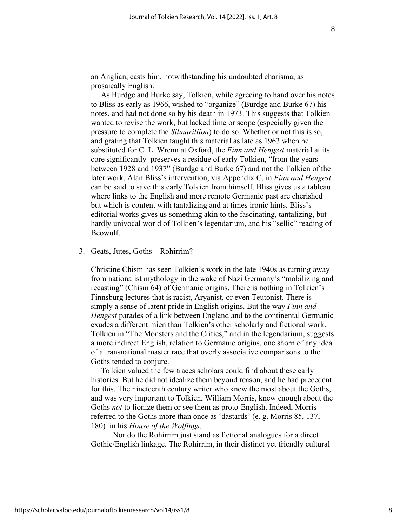an Anglian, casts him, notwithstanding his undoubted charisma, as prosaically English.

 As Burdge and Burke say, Tolkien, while agreeing to hand over his notes to Bliss as early as 1966, wished to "organize" (Burdge and Burke 67) his notes, and had not done so by his death in 1973. This suggests that Tolkien wanted to revise the work, but lacked time or scope (especially given the pressure to complete the *Silmarillion*) to do so. Whether or not this is so, and grating that Tolkien taught this material as late as 1963 when he substituted for C. L. Wrenn at Oxford, the *Finn and Hengest* material at its core significantly preserves a residue of early Tolkien, "from the years between 1928 and 1937" (Burdge and Burke 67) and not the Tolkien of the later work. Alan Bliss's intervention, via Appendix C, in *Finn and Hengest* can be said to save this early Tolkien from himself. Bliss gives us a tableau where links to the English and more remote Germanic past are cherished but which is content with tantalizing and at times ironic hints. Bliss's editorial works gives us something akin to the fascinating, tantalizing, but hardly univocal world of Tolkien's legendarium, and his "sellic" reading of Beowulf.

#### 3. Geats, Jutes, Goths—Rohirrim?

Christine Chism has seen Tolkien's work in the late 1940s as turning away from nationalist mythology in the wake of Nazi Germany's "mobilizing and recasting" (Chism 64) of Germanic origins. There is nothing in Tolkien's Finnsburg lectures that is racist, Aryanist, or even Teutonist. There is simply a sense of latent pride in English origins. But the way *Finn and Hengest* parades of a link between England and to the continental Germanic exudes a different mien than Tolkien's other scholarly and fictional work. Tolkien in "The Monsters and the Critics," and in the legendarium, suggests a more indirect English, relation to Germanic origins, one shorn of any idea of a transnational master race that overly associative comparisons to the Goths tended to conjure.

 Tolkien valued the few traces scholars could find about these early histories. But he did not idealize them beyond reason, and he had precedent for this. The nineteenth century writer who knew the most about the Goths, and was very important to Tolkien, William Morris, knew enough about the Goths *not* to lionize them or see them as proto-English. Indeed, Morris referred to the Goths more than once as 'dastards' (e. g. Morris 85, 137, 180) in his *House of the Wolfings*.

 Nor do the Rohirrim just stand as fictional analogues for a direct Gothic/English linkage. The Rohirrim, in their distinct yet friendly cultural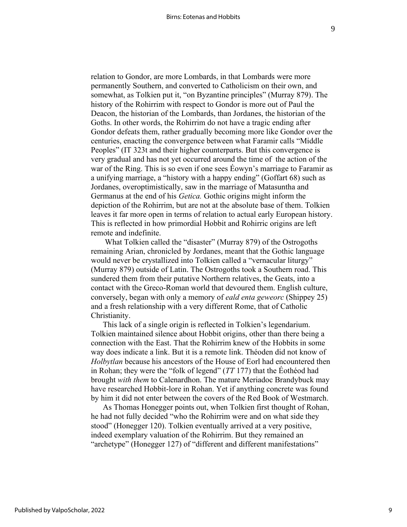relation to Gondor, are more Lombards, in that Lombards were more permanently Southern, and converted to Catholicism on their own, and somewhat, as Tolkien put it, "on Byzantine principles" (Murray 879). The history of the Rohirrim with respect to Gondor is more out of Paul the Deacon, the historian of the Lombards, than Jordanes, the historian of the Goths. In other words, the Rohirrim do not have a tragic ending after Gondor defeats them, rather gradually becoming more like Gondor over the centuries, enacting the convergence between what Faramir calls "Middle Peoples" (IT 323t and their higher counterparts. But this convergence is very gradual and has not yet occurred around the time of the action of the war of the Ring. This is so even if one sees Éowyn's marriage to Faramir as a unifying marriage, a "history with a happy ending" (Goffart 68) such as Jordanes, overoptimistically, saw in the marriage of Matasuntha and Germanus at the end of his *Getica.* Gothic origins might inform the depiction of the Rohirrim, but are not at the absolute base of them. Tolkien leaves it far more open in terms of relation to actual early European history. This is reflected in how primordial Hobbit and Rohirric origins are left remote and indefinite.

 What Tolkien called the "disaster" (Murray 879) of the Ostrogoths remaining Arian, chronicled by Jordanes, meant that the Gothic language would never be crystallized into Tolkien called a "vernacular liturgy" (Murray 879) outside of Latin. The Ostrogoths took a Southern road. This sundered them from their putative Northern relatives, the Geats, into a contact with the Greco-Roman world that devoured them. English culture, conversely, began with only a memory of *eald enta geweorc* (Shippey 25) and a fresh relationship with a very different Rome, that of Catholic Christianity.

 This lack of a single origin is reflected in Tolkien's legendarium. Tolkien maintained silence about Hobbit origins, other than there being a connection with the East. That the Rohirrim knew of the Hobbits in some way does indicate a link. But it is a remote link. Théoden did not know of *Holbytlan* because his ancestors of the House of Eorl had encountered then in Rohan; they were the "folk of legend" (*TT* 177) that the Éothéod had brought *with them* to Calenardhon. The mature Meriadoc Brandybuck may have researched Hobbit-lore in Rohan. Yet if anything concrete was found by him it did not enter between the covers of the Red Book of Westmarch.

 As Thomas Honegger points out, when Tolkien first thought of Rohan, he had not fully decided "who the Rohirrim were and on what side they stood" (Honegger 120). Tolkien eventually arrived at a very positive, indeed exemplary valuation of the Rohirrim. But they remained an "archetype" (Honegger 127) of "different and different manifestations"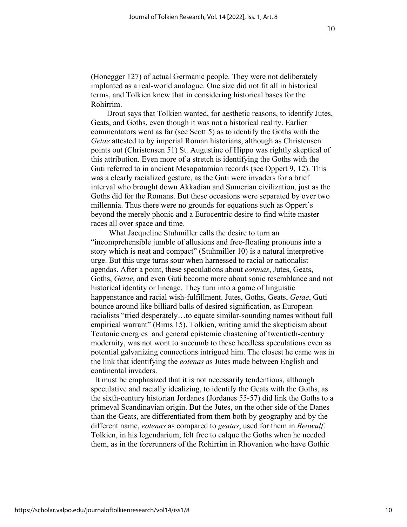(Honegger 127) of actual Germanic people. They were not deliberately implanted as a real-world analogue. One size did not fit all in historical terms, and Tolkien knew that in considering historical bases for the Rohirrim.

 Drout says that Tolkien wanted, for aesthetic reasons, to identify Jutes, Geats, and Goths, even though it was not a historical reality. Earlier commentators went as far (see Scott 5) as to identify the Goths with the *Getae* attested to by imperial Roman historians, although as Christensen points out (Christensen 51) St. Augustine of Hippo was rightly skeptical of this attribution. Even more of a stretch is identifying the Goths with the Guti referred to in ancient Mesopotamian records (see Oppert 9, 12). This was a clearly racialized gesture, as the Guti were invaders for a brief interval who brought down Akkadian and Sumerian civilization, just as the Goths did for the Romans. But these occasions were separated by over two millennia. Thus there were no grounds for equations such as Oppert's beyond the merely phonic and a Eurocentric desire to find white master races all over space and time.

 What Jacqueline Stuhmiller calls the desire to turn an "incomprehensible jumble of allusions and free-floating pronouns into a story which is neat and compact" (Stuhmiller 10) is a natural interpretive urge. But this urge turns sour when harnessed to racial or nationalist agendas. After a point, these speculations about *eotenas*, Jutes, Geats, Goths, *Getae*, and even Guti become more about sonic resemblance and not historical identity or lineage. They turn into a game of linguistic happenstance and racial wish-fulfillment. Jutes, Goths, Geats, *Getae*, Guti bounce around like billiard balls of desired signification, as European racialists "tried desperately…to equate similar-sounding names without full empirical warrant" (Birns 15). Tolkien, writing amid the skepticism about Teutonic energies and general epistemic chastening of twentieth-century modernity, was not wont to succumb to these heedless speculations even as potential galvanizing connections intrigued him. The closest he came was in the link that identifying the *eotenas* as Jutes made between English and continental invaders.

 It must be emphasized that it is not necessarily tendentious, although speculative and racially idealizing, to identify the Geats with the Goths, as the sixth-century historian Jordanes (Jordanes 55-57) did link the Goths to a primeval Scandinavian origin. But the Jutes, on the other side of the Danes than the Geats, are differentiated from them both by geography and by the different name, *eotenas* as compared to *geatas*, used for them in *Beowulf*. Tolkien, in his legendarium, felt free to calque the Goths when he needed them, as in the forerunners of the Rohirrim in Rhovanion who have Gothic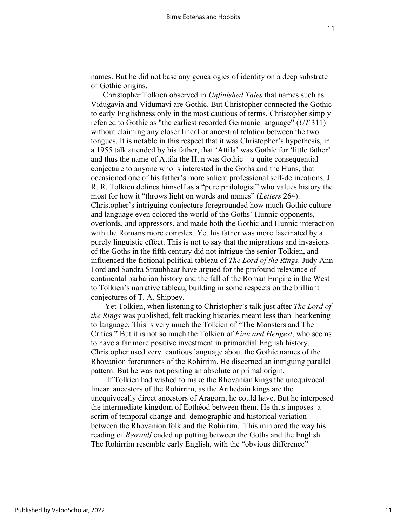names. But he did not base any genealogies of identity on a deep substrate of Gothic origins.

 Christopher Tolkien observed in *Unfinished Tales* that names such as Vidugavia and Vidumavi are Gothic. But Christopher connected the Gothic to early Englishness only in the most cautious of terms. Christopher simply referred to Gothic as "the earliest recorded Germanic language" (*UT* 311) without claiming any closer lineal or ancestral relation between the two tongues. It is notable in this respect that it was Christopher's hypothesis, in a 1955 talk attended by his father, that 'Attila' was Gothic for 'little father' and thus the name of Attila the Hun was Gothic—a quite consequential conjecture to anyone who is interested in the Goths and the Huns, that occasioned one of his father's more salient professional self-delineations. J. R. R. Tolkien defines himself as a "pure philologist" who values history the most for how it "throws light on words and names" (*Letters* 264). Christopher's intriguing conjecture foregrounded how much Gothic culture and language even colored the world of the Goths' Hunnic opponents, overlords, and oppressors, and made both the Gothic and Hunnic interaction with the Romans more complex. Yet his father was more fascinated by a purely linguistic effect. This is not to say that the migrations and invasions of the Goths in the fifth century did not intrigue the senior Tolkien, and influenced the fictional political tableau of *The Lord of the Rings.* Judy Ann Ford and Sandra Straubhaar have argued for the profound relevance of continental barbarian history and the fall of the Roman Empire in the West to Tolkien's narrative tableau, building in some respects on the brilliant conjectures of T. A. Shippey.

 Yet Tolkien, when listening to Christopher's talk just after *The Lord of the Rings* was published, felt tracking histories meant less than hearkening to language. This is very much the Tolkien of "The Monsters and The Critics." But it is not so much the Tolkien of *Finn and Hengest*, who seems to have a far more positive investment in primordial English history. Christopher used very cautious language about the Gothic names of the Rhovanion forerunners of the Rohirrim. He discerned an intriguing parallel pattern. But he was not positing an absolute or primal origin.

 If Tolkien had wished to make the Rhovanian kings the unequivocal linear ancestors of the Rohirrim, as the Arthedain kings are the unequivocally direct ancestors of Aragorn, he could have. But he interposed the intermediate kingdom of Éothéod between them. He thus imposes a scrim of temporal change and demographic and historical variation between the Rhovanion folk and the Rohirrim. This mirrored the way his reading of *Beowulf* ended up putting between the Goths and the English. The Rohirrim resemble early English, with the "obvious difference"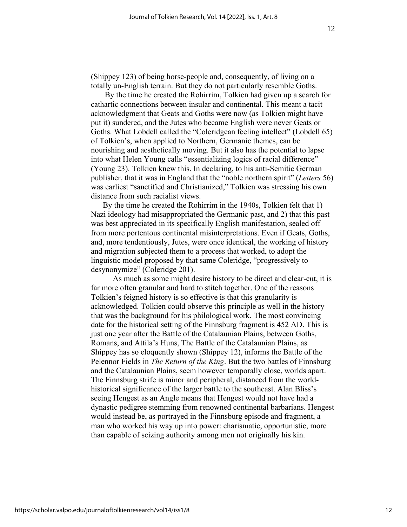(Shippey 123) of being horse-people and, consequently, of living on a totally un-English terrain. But they do not particularly resemble Goths.

 By the time he created the Rohirrim, Tolkien had given up a search for cathartic connections between insular and continental. This meant a tacit acknowledgment that Geats and Goths were now (as Tolkien might have put it) sundered, and the Jutes who became English were never Geats or Goths. What Lobdell called the "Coleridgean feeling intellect" (Lobdell 65) of Tolkien's, when applied to Northern, Germanic themes, can be nourishing and aesthetically moving. But it also has the potential to lapse into what Helen Young calls "essentializing logics of racial difference" (Young 23). Tolkien knew this. In declaring, to his anti-Semitic German publisher, that it was in England that the "noble northern spirit" (*Letters* 56) was earliest "sanctified and Christianized," Tolkien was stressing his own distance from such racialist views.

 By the time he created the Rohirrim in the 1940s, Tolkien felt that 1) Nazi ideology had misappropriated the Germanic past, and 2) that this past was best appreciated in its specifically English manifestation, sealed off from more portentous continental misinterpretations. Even if Geats, Goths, and, more tendentiously, Jutes, were once identical, the working of history and migration subjected them to a process that worked, to adopt the linguistic model proposed by that same Coleridge, "progressively to desynonymize" (Coleridge 201).

 As much as some might desire history to be direct and clear-cut, it is far more often granular and hard to stitch together. One of the reasons Tolkien's feigned history is so effective is that this granularity is acknowledged. Tolkien could observe this principle as well in the history that was the background for his philological work. The most convincing date for the historical setting of the Finnsburg fragment is 452 AD. This is just one year after the Battle of the Catalaunian Plains, between Goths, Romans, and Attila's Huns, The Battle of the Catalaunian Plains, as Shippey has so eloquently shown (Shippey 12), informs the Battle of the Pelennor Fields in *The Return of the King*. But the two battles of Finnsburg and the Catalaunian Plains, seem however temporally close, worlds apart. The Finnsburg strife is minor and peripheral, distanced from the worldhistorical significance of the larger battle to the southeast. Alan Bliss's seeing Hengest as an Angle means that Hengest would not have had a dynastic pedigree stemming from renowned continental barbarians. Hengest would instead be, as portrayed in the Finnsburg episode and fragment, a man who worked his way up into power: charismatic, opportunistic, more than capable of seizing authority among men not originally his kin.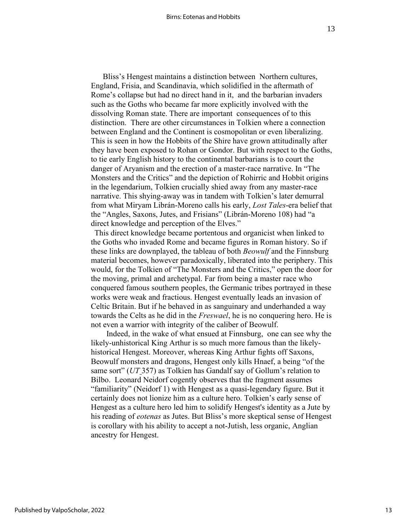Bliss's Hengest maintains a distinction between Northern cultures, England, Frisia, and Scandinavia, which solidified in the aftermath of Rome's collapse but had no direct hand in it, and the barbarian invaders such as the Goths who became far more explicitly involved with the dissolving Roman state. There are important consequences of to this distinction. There are other circumstances in Tolkien where a connection between England and the Continent is cosmopolitan or even liberalizing. This is seen in how the Hobbits of the Shire have grown attitudinally after they have been exposed to Rohan or Gondor. But with respect to the Goths, to tie early English history to the continental barbarians is to court the danger of Aryanism and the erection of a master-race narrative. In "The Monsters and the Critics" and the depiction of Rohirric and Hobbit origins in the legendarium, Tolkien crucially shied away from any master-race narrative. This shying-away was in tandem with Tolkien's later demurral from what Miryam Librán-Moreno calls his early, *Lost Tales*-era belief that the "Angles, Saxons, Jutes, and Frisians" (Librán-Moreno 108) had "a direct knowledge and perception of the Elves."

 This direct knowledge became portentous and organicist when linked to the Goths who invaded Rome and became figures in Roman history. So if these links are downplayed, the tableau of both *Beowulf* and the Finnsburg material becomes, however paradoxically, liberated into the periphery. This would, for the Tolkien of "The Monsters and the Critics," open the door for the moving, primal and archetypal. Far from being a master race who conquered famous southern peoples, the Germanic tribes portrayed in these works were weak and fractious. Hengest eventually leads an invasion of Celtic Britain. But if he behaved in as sanguinary and underhanded a way towards the Celts as he did in the *Freswael*, he is no conquering hero. He is not even a warrior with integrity of the caliber of Beowulf.

 Indeed, in the wake of what ensued at Finnsburg, one can see why the likely-unhistorical King Arthur is so much more famous than the likelyhistorical Hengest. Moreover, whereas King Arthur fights off Saxons, Beowulf monsters and dragons, Hengest only kills Hnaef, a being "of the same sort" (*UT* 357) as Tolkien has Gandalf say of Gollum's relation to Bilbo. Leonard Neidorf cogently observes that the fragment assumes "familiarity" (Neidorf 1) with Hengest as a quasi-legendary figure. But it certainly does not lionize him as a culture hero. Tolkien's early sense of Hengest as a culture hero led him to solidify Hengest's identity as a Jute by his reading of *eotenas* as Jutes. But Bliss's more skeptical sense of Hengest is corollary with his ability to accept a not-Jutish, less organic, Anglian ancestry for Hengest.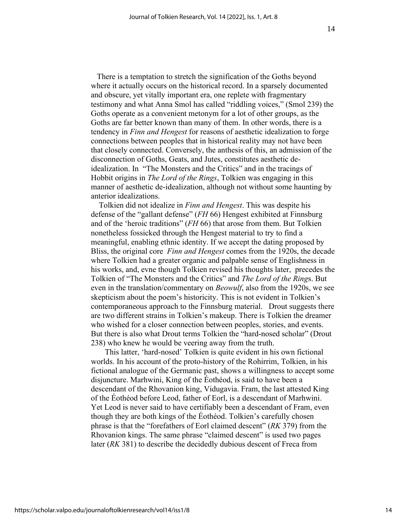There is a temptation to stretch the signification of the Goths beyond where it actually occurs on the historical record. In a sparsely documented and obscure, yet vitally important era, one replete with fragmentary testimony and what Anna Smol has called "riddling voices," (Smol 239) the Goths operate as a convenient metonym for a lot of other groups, as the Goths are far better known than many of them. In other words, there is a tendency in *Finn and Hengest* for reasons of aesthetic idealization to forge connections between peoples that in historical reality may not have been that closely connected. Conversely, the anthesis of this, an admission of the disconnection of Goths, Geats, and Jutes, constitutes aesthetic deidealization. In "The Monsters and the Critics" and in the tracings of Hobbit origins in *The Lord of the Rings*, Tolkien was engaging in this manner of aesthetic de-idealization, although not without some haunting by anterior idealizations.

 Tolkien did not idealize in *Finn and Hengest*. This was despite his defense of the "gallant defense" (*FH* 66) Hengest exhibited at Finnsburg and of the 'heroic traditions" (*FH* 66) that arose from them. But Tolkien nonetheless fossicked through the Hengest material to try to find a meaningful, enabling ethnic identity. If we accept the dating proposed by Bliss, the original core *Finn and Hengest* comes from the 1920s, the decade where Tolkien had a greater organic and palpable sense of Englishness in his works, and, evne though Tolkien revised his thoughts later, precedes the Tolkien of "The Monsters and the Critics" and *The Lord of the Ring*s. But even in the translation/commentary on *Beowulf*, also from the 1920s, we see skepticism about the poem's historicity. This is not evident in Tolkien's contemporaneous approach to the Finnsburg material. Drout suggests there are two different strains in Tolkien's makeup. There is Tolkien the dreamer who wished for a closer connection between peoples, stories, and events. But there is also what Drout terms Tolkien the "hard-nosed scholar" (Drout 238) who knew he would be veering away from the truth.

 This latter, 'hard-nosed' Tolkien is quite evident in his own fictional worlds. In his account of the proto-history of the Rohirrim, Tolkien, in his fictional analogue of the Germanic past, shows a willingness to accept some disjuncture. Marhwini, King of the Éothéod, is said to have been a descendant of the Rhovanion king, Vidugavia. Fram, the last attested King of the Éothéod before Leod, father of Eorl, is a descendant of Marhwini. Yet Leod is never said to have certifiably been a descendant of Fram, even though they are both kings of the Éothéod. Tolkien's carefully chosen phrase is that the "forefathers of Eorl claimed descent" (*RK* 379) from the Rhovanion kings. The same phrase "claimed descent" is used two pages later (*RK* 381) to describe the decidedly dubious descent of Freca from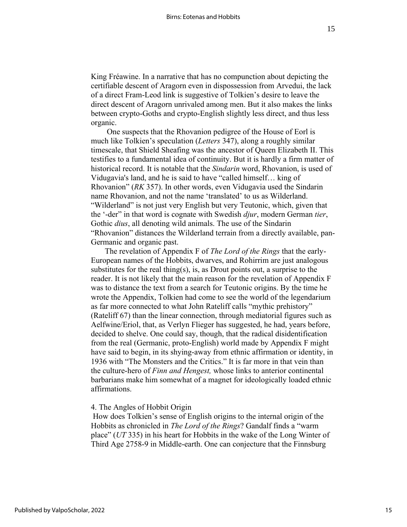King Fréawine. In a narrative that has no compunction about depicting the certifiable descent of Aragorn even in dispossession from Arvedui, the lack of a direct Fram-Leod link is suggestive of Tolkien's desire to leave the direct descent of Aragorn unrivaled among men. But it also makes the links between crypto-Goths and crypto-English slightly less direct, and thus less organic.

 One suspects that the Rhovanion pedigree of the House of Eorl is much like Tolkien's speculation (*Letters* 347), along a roughly similar timescale, that Shield Sheafing was the ancestor of Queen Elizabeth II. This testifies to a fundamental idea of continuity. But it is hardly a firm matter of historical record. It is notable that the *Sindarin* word, Rhovanion, is used of Vidugavia's land, and he is said to have "called himself… king of Rhovanion" (*RK* 357). In other words, even Vidugavia used the Sindarin name Rhovanion, and not the name 'translated' to us as Wilderland. "Wilderland" is not just very English but very Teutonic, which, given that the '-der" in that word is cognate with Swedish *djur*, modern German *tier*, Gothic *dius*, all denoting wild animals. The use of the Sindarin "Rhovanion" distances the Wilderland terrain from a directly available, pan-Germanic and organic past.

 The revelation of Appendix F of *The Lord of the Rings* that the early-European names of the Hobbits, dwarves, and Rohirrim are just analogous substitutes for the real thing(s), is, as Drout points out, a surprise to the reader. It is not likely that the main reason for the revelation of Appendix F was to distance the text from a search for Teutonic origins. By the time he wrote the Appendix, Tolkien had come to see the world of the legendarium as far more connected to what John Rateliff calls "mythic prehistory" (Rateliff 67) than the linear connection, through mediatorial figures such as Aelfwine/Eriol, that, as Verlyn Flieger has suggested, he had, years before, decided to shelve. One could say, though, that the radical disidentification from the real (Germanic, proto-English) world made by Appendix F might have said to begin, in its shying-away from ethnic affirmation or identity, in 1936 with "The Monsters and the Critics." It is far more in that vein than the culture-hero of *Finn and Hengest,* whose links to anterior continental barbarians make him somewhat of a magnet for ideologically loaded ethnic affirmations.

#### 4. The Angles of Hobbit Origin

How does Tolkien's sense of English origins to the internal origin of the Hobbits as chronicled in *The Lord of the Rings*? Gandalf finds a "warm place" (*UT* 335) in his heart for Hobbits in the wake of the Long Winter of Third Age 2758-9 in Middle-earth. One can conjecture that the Finnsburg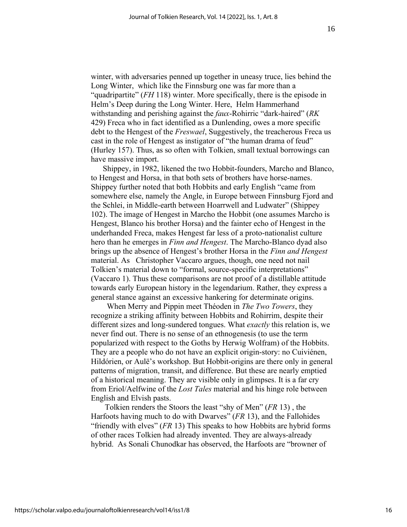winter, with adversaries penned up together in uneasy truce, lies behind the Long Winter, which like the Finnsburg one was far more than a "quadripartite" (*FH* 118) winter. More specifically, there is the episode in Helm's Deep during the Long Winter. Here, Helm Hammerhand withstanding and perishing against the *faux*-Rohirric "dark-haired" (*RK* 429) Freca who in fact identified as a Dunlending, owes a more specific debt to the Hengest of the *Freswael*, Suggestively, the treacherous Freca us cast in the role of Hengest as instigator of "the human drama of feud" (Hurley 157). Thus, as so often with Tolkien, small textual borrowings can have massive import.

 Shippey, in 1982, likened the two Hobbit-founders, Marcho and Blanco, to Hengest and Horsa, in that both sets of brothers have horse-names. Shippey further noted that both Hobbits and early English "came from somewhere else, namely the Angle, in Europe between Finnsburg Fjord and the Schlei, in Middle-earth between Hoarrwell and Ludwater" (Shippey 102). The image of Hengest in Marcho the Hobbit (one assumes Marcho is Hengest, Blanco his brother Horsa) and the fainter echo of Hengest in the underhanded Freca, makes Hengest far less of a proto-nationalist culture hero than he emerges in *Finn and Hengest*. The Marcho-Blanco dyad also brings up the absence of Hengest's brother Horsa in the *Finn and Hengest*  material. As Christopher Vaccaro argues, though, one need not nail Tolkien's material down to "formal, source-specific interpretations" (Vaccaro 1). Thus these comparisons are not proof of a distillable attitude towards early European history in the legendarium. Rather, they express a general stance against an excessive hankering for determinate origins.

 When Merry and Pippin meet Théoden in *The Two Towers*, they recognize a striking affinity between Hobbits and Rohirrim, despite their different sizes and long-sundered tongues. What *exactly* this relation is, we never find out. There is no sense of an ethnogenesis (to use the term popularized with respect to the Goths by Herwig Wolfram) of the Hobbits. They are a people who do not have an explicit origin-story: no Cuiviénen, Hildórien, or Aulë's workshop. But Hobbit-origins are there only in general patterns of migration, transit, and difference. But these are nearly emptied of a historical meaning. They are visible only in glimpses. It is a far cry from Eriol/Aelfwine of the *Lost Tales* material and his hinge role between English and Elvish pasts.

 Tolkien renders the Stoors the least "shy of Men" (*FR* 13) , the Harfoots having much to do with Dwarves" (*FR* 13), and the Fallohides "friendly with elves" (*FR* 13) This speaks to how Hobbits are hybrid forms of other races Tolkien had already invented. They are always-already hybrid. As Sonali Chunodkar has observed, the Harfoots are "browner of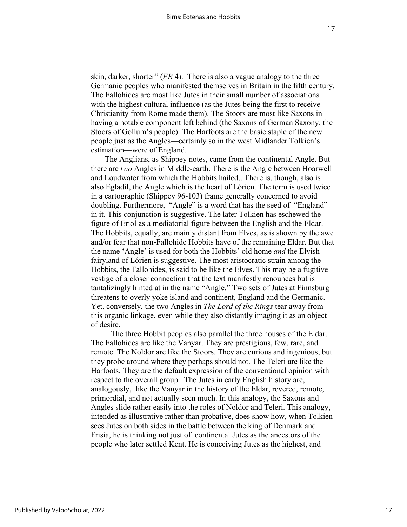skin, darker, shorter" (*FR* 4). There is also a vague analogy to the three Germanic peoples who manifested themselves in Britain in the fifth century. The Fallohides are most like Jutes in their small number of associations with the highest cultural influence (as the Jutes being the first to receive Christianity from Rome made them). The Stoors are most like Saxons in having a notable component left behind (the Saxons of German Saxony, the Stoors of Gollum's people). The Harfoots are the basic staple of the new people just as the Angles—certainly so in the west Midlander Tolkien's estimation—were of England.

 The Anglians, as Shippey notes, came from the continental Angle. But there are *two* Angles in Middle-earth. There is the Angle between Hoarwell and Loudwater from which the Hobbits hailed,. There is, though, also is also Egladil, the Angle which is the heart of Lórien. The term is used twice in a cartographic (Shippey 96-103) frame generally concerned to avoid doubling. Furthermore, "Angle" is a word that has the seed of "England" in it. This conjunction is suggestive. The later Tolkien has eschewed the figure of Eriol as a mediatorial figure between the English and the Eldar. The Hobbits, equally, are mainly distant from Elves, as is shown by the awe and/or fear that non-Fallohide Hobbits have of the remaining Eldar. But that the name 'Angle' is used for both the Hobbits' old home *and* the Elvish fairyland of Lórien is suggestive. The most aristocratic strain among the Hobbits, the Fallohides, is said to be like the Elves. This may be a fugitive vestige of a closer connection that the text manifestly renounces but is tantalizingly hinted at in the name "Angle." Two sets of Jutes at Finnsburg threatens to overly yoke island and continent, England and the Germanic. Yet, conversely, the two Angles in *The Lord of the Rings* tear away from this organic linkage, even while they also distantly imaging it as an object of desire.

 The three Hobbit peoples also parallel the three houses of the Eldar. The Fallohides are like the Vanyar. They are prestigious, few, rare, and remote. The Noldor are like the Stoors. They are curious and ingenious, but they probe around where they perhaps should not. The Teleri are like the Harfoots. They are the default expression of the conventional opinion with respect to the overall group. The Jutes in early English history are, analogously, like the Vanyar in the history of the Eldar, revered, remote, primordial, and not actually seen much. In this analogy, the Saxons and Angles slide rather easily into the roles of Noldor and Teleri. This analogy, intended as illustrative rather than probative, does show how, when Tolkien sees Jutes on both sides in the battle between the king of Denmark and Frisia, he is thinking not just of continental Jutes as the ancestors of the people who later settled Kent. He is conceiving Jutes as the highest, and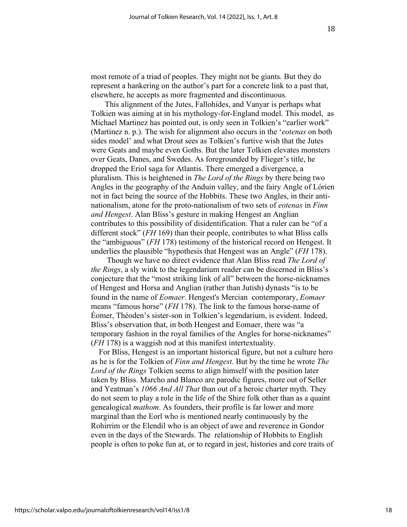most remote of a triad of peoples. They might not be giants. But they do represent a hankering on the author's part for a concrete link to a past that, elsewhere, he accepts as more fragmented and discontinuous.

 This alignment of the Jutes, Fallohides, and Vanyar is perhaps what Tolkien was aiming at in his mythology-for-England model. This model, as Michael Martinez has pointed out, is only seen in Tolkien's "earlier work" (Martinez n. p.). The wish for alignment also occurs in the '*eotenas* on both sides model' and what Drout sees as Tolkien's furtive wish that the Jutes were Geats and maybe even Goths. But the later Tolkien elevates monsters over Geats, Danes, and Swedes. As foregrounded by Flieger's title, he dropped the Eriol saga for Atlantis. There emerged a divergence, a pluralism. This is heightened in *The Lord of the Rings* by there being two Angles in the geography of the Anduin valley, and the fairy Angle of Lórien not in fact being the source of the Hobbits. These two Angles, in their antinationalism, atone for the proto-nationalism of two sets of *eotenas* in *Finn and Hengest*. Alan Bliss's gesture in making Hengest an Anglian contributes to this possibility of disidentification. That a ruler can be "of a different stock" (*FH* 169) than their people, contributes to what Bliss calls the "ambiguous" (*FH* 178) testimony of the historical record on Hengest. It underlies the plausible "hypothesis that Hengest was an Angle" (*FH* 178).

 Though we have no direct evidence that Alan Bliss read *The Lord of the Rings*, a sly wink to the legendarium reader can be discerned in Bliss's conjecture that the "most striking link of all" between the horse-nicknames of Hengest and Horsa and Anglian (rather than Jutish) dynasts "is to be found in the name of *Eomaer*. Hengest's Mercian contemporary, *Eomaer* means "famous horse" (*FH* 178). The link to the famous horse-name of Éomer, Théoden's sister-son in Tolkien's legendarium, is evident. Indeed, Bliss's observation that, in both Hengest and Eomaer, there was "a temporary fashion in the royal families of the Angles for horse-nicknames" (*FH* 178) is a waggish nod at this manifest intertextuality.

 For Bliss, Hengest is an important historical figure, but not a culture hero as he is for the Tolkien of *Finn and Hengest*. But by the time he wrote *The Lord of the Rings* Tolkien seems to align himself with the position later taken by Bliss. Marcho and Blanco are parodic figures, more out of Seller and Yeatman's *1066 And All That* than out of a heroic charter myth. They do not seem to play a role in the life of the Shire folk other than as a quaint genealogical *mathom*. As founders, their profile is far lower and more marginal than the Eorl who is mentioned nearly continuously by the Rohirrim or the Elendil who is an object of awe and reverence in Gondor even in the days of the Stewards. The relationship of Hobbits to English people is often to poke fun at, or to regard in jest, histories and core traits of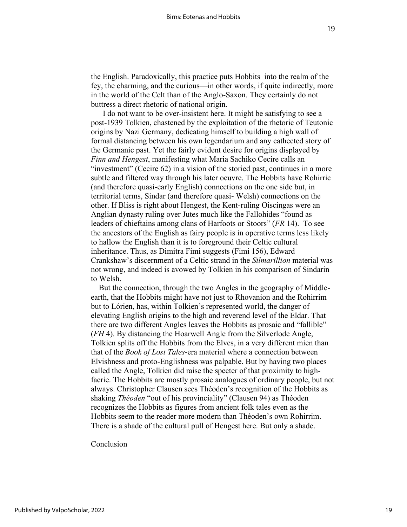the English. Paradoxically, this practice puts Hobbits into the realm of the fey, the charming, and the curious—in other words, if quite indirectly, more in the world of the Celt than of the Anglo-Saxon. They certainly do not buttress a direct rhetoric of national origin.

 I do not want to be over-insistent here. It might be satisfying to see a post-1939 Tolkien, chastened by the exploitation of the rhetoric of Teutonic origins by Nazi Germany, dedicating himself to building a high wall of formal distancing between his own legendarium and any cathected story of the Germanic past. Yet the fairly evident desire for origins displayed by *Finn and Hengest*, manifesting what Maria Sachiko Cecire calls an "investment" (Cecire 62) in a vision of the storied past, continues in a more subtle and filtered way through his later oeuvre. The Hobbits have Rohirric (and therefore quasi-early English) connections on the one side but, in territorial terms, Sindar (and therefore quasi- Welsh) connections on the other. If Bliss is right about Hengest, the Kent-ruling Oiscingas were an Anglian dynasty ruling over Jutes much like the Fallohides "found as leaders of chieftains among clans of Harfoots or Stoors" (*FR* 14). To see the ancestors of the English as fairy people is in operative terms less likely to hallow the English than it is to foreground their Celtic cultural inheritance. Thus, as Dimitra Fimi suggests (Fimi 156), Edward Crankshaw's discernment of a Celtic strand in the *Silmarillion* material was not wrong, and indeed is avowed by Tolkien in his comparison of Sindarin to Welsh.

 But the connection, through the two Angles in the geography of Middleearth, that the Hobbits might have not just to Rhovanion and the Rohirrim but to Lórien, has, within Tolkien's represented world, the danger of elevating English origins to the high and reverend level of the Eldar. That there are two different Angles leaves the Hobbits as prosaic and "fallible" (*FH* 4). By distancing the Hoarwell Angle from the Silverlode Angle, Tolkien splits off the Hobbits from the Elves, in a very different mien than that of the *Book of Lost Tales*-era material where a connection between Elvishness and proto-Englishness was palpable. But by having two places called the Angle, Tolkien did raise the specter of that proximity to highfaerie. The Hobbits are mostly prosaic analogues of ordinary people, but not always. Christopher Clausen sees Théoden's recognition of the Hobbits as shaking *Théoden* "out of his provinciality" (Clausen 94) as Théoden recognizes the Hobbits as figures from ancient folk tales even as the Hobbits seem to the reader more modern than Théoden's own Rohirrim. There is a shade of the cultural pull of Hengest here. But only a shade.

Conclusion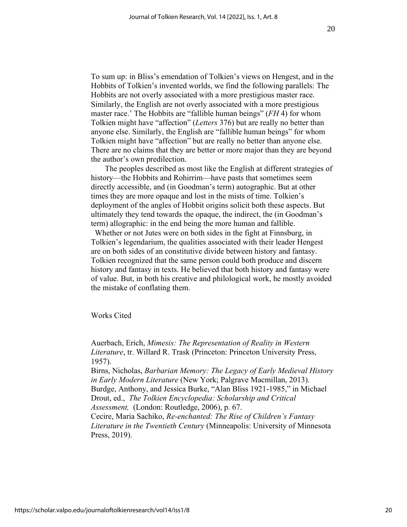To sum up: in Bliss's emendation of Tolkien's views on Hengest, and in the Hobbits of Tolkien's invented worlds, we find the following parallels: The Hobbits are not overly associated with a more prestigious master race. Similarly, the English are not overly associated with a more prestigious master race.' The Hobbits are "fallible human beings" (*FH* 4) for whom Tolkien might have "affection" (*Letters* 376) but are really no better than anyone else. Similarly, the English are "fallible human beings" for whom Tolkien might have "affection" but are really no better than anyone else. There are no claims that they are better or more major than they are beyond the author's own predilection.

 The peoples described as most like the English at different strategies of history—the Hobbits and Rohirrim—have pasts that sometimes seem directly accessible, and (in Goodman's term) autographic. But at other times they are more opaque and lost in the mists of time. Tolkien's deployment of the angles of Hobbit origins solicit both these aspects. But ultimately they tend towards the opaque, the indirect, the (in Goodman's term) allographic: in the end being the more human and fallible.

 Whether or not Jutes were on both sides in the fight at Finnsburg, in Tolkien's legendarium, the qualities associated with their leader Hengest are on both sides of an constitutive divide between history and fantasy. Tolkien recognized that the same person could both produce and discern history and fantasy in texts. He believed that both history and fantasy were of value. But, in both his creative and philological work, he mostly avoided the mistake of conflating them.

Works Cited

Auerbach, Erich, *Mimesis: The Representation of Reality in Western Literature*, tr. Willard R. Trask (Princeton: Princeton University Press, 1957).

Birns, Nicholas, *Barbarian Memory: The Legacy of Early Medieval History in Early Modern Literature* (New York; Palgrave Macmillan, 2013). Burdge, Anthony, and Jessica Burke, "Alan Bliss 1921-1985," in Michael Drout, ed., *The Tolkien Encyclopedia: Scholarship and Critical Assessment,* (London: Routledge, 2006), p. 67.

Cecire, Maria Sachiko, *Re-enchanted: The Rise of Children's Fantasy Literature in the Twentieth Century* (Minneapolis: University of Minnesota Press, 2019).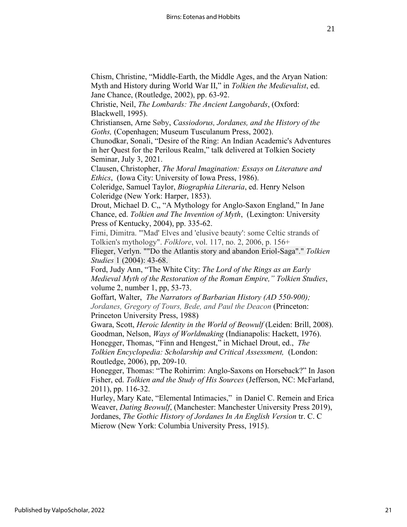21

Chism, Christine, "Middle-Earth, the Middle Ages, and the Aryan Nation: Myth and History during World War II," in *Tolkien the Medievalist*, ed. Jane Chance, (Routledge, 2002), pp. 63-92.

Christie, Neil, *The Lombards: The Ancient Langobards*, (Oxford: Blackwell, 1995).

Christiansen, Arne Søby, *Cassiodorus, Jordanes, and the History of the Goths,* (Copenhagen; Museum Tusculanum Press, 2002).

Chunodkar, Sonali, "Desire of the Ring: An Indian Academic's Adventures in her Quest for the Perilous Realm," talk delivered at Tolkien Society Seminar, July 3, 2021.

Clausen, Christopher, *The Moral Imagination: Essays on Literature and Ethics*, (Iowa City: University of Iowa Press, 1986).

Coleridge, Samuel Taylor, *Biographia Literaria*, ed. Henry Nelson Coleridge (New York: Harper, 1853).

Drout, Michael D. C,, "A Mythology for Anglo-Saxon England," In Jane Chance, ed. *Tolkien and The Invention of Myth*, (Lexington: University Press of Kentucky, 2004), pp. 335-62.

Fimi, Dimitra. "'Mad' Elves and 'elusive beauty': some Celtic strands of Tolkien's mythology". *Folklore*, vol. 117, no. 2, 2006, p. 156+

Flieger, Verlyn. ""Do the Atlantis story and abandon Eriol-Saga"." *Tolkien Studies* 1 (2004): 43-68.

Ford, Judy Ann, "The White City: *The Lord of the Rings as an Early Medieval Myth of the Restoration of the Roman Empire," Tolkien Studies*, volume 2, number 1, pp, 53-73.

Goffart, Walter, *The Narrators of Barbarian History (AD 550-900); Jordanes, Gregory of Tours, Bede, and Paul the Deacon* (Princeton: Princeton University Press, 1988)

Gwara, Scott, *Heroic Identity in the World of Beowulf* (Leiden: Brill, 2008). Goodman, Nelson, *Ways of Worldmaking* (Indianapolis: Hackett, 1976). Honegger, Thomas, "Finn and Hengest," in Michael Drout, ed., *The Tolkien Encyclopedia: Scholarship and Critical Assessment,* (London: Routledge, 2006), pp, 209-10.

Honegger, Thomas: "The Rohirrim: Anglo-Saxons on Horseback?" In Jason Fisher, ed. *Tolkien and the Study of His Sources* (Jefferson, NC: McFarland, 2011), pp. 116-32.

Hurley, Mary Kate, "Elemental Intimacies," in Daniel C. Remein and Erica Weaver, *Dating Beowulf*, (Manchester: Manchester University Press 2019), Jordanes, *The Gothic History of Jordanes In An English Version* tr. C. C Mierow (New York: Columbia University Press, 1915).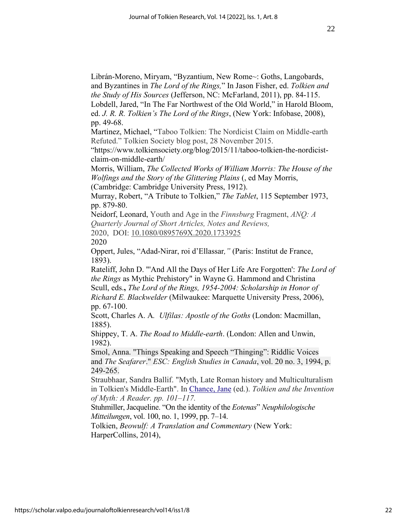Librán-Moreno, Miryam, "Byzantium, New Rome~: Goths, Langobards, and Byzantines in *The Lord of the Rings,*" In Jason Fisher, ed. *Tolkien and the Study of His Sources* (Jefferson, NC: McFarland, 2011), pp. 84-115. Lobdell, Jared, "In The Far Northwest of the Old World," in Harold Bloom,

ed. *J. R. R. Tolkien's The Lord of the Rings*, (New York: Infobase, 2008), pp. 49-68.

Martinez, Michael, "Taboo Tolkien: The Nordicist Claim on Middle-earth Refuted." Tolkien Society blog post, 28 November 2015.

"https://www.tolkiensociety.org/blog/2015/11/taboo-tolkien-the-nordicistclaim-on-middle-earth/

Morris, William, *The Collected Works of William Morris: The House of the Wolfings and the Story of the Glittering Plains* (, ed May Morris, (Cambridge: Cambridge University Press, 1912).

Murray, Robert, "A Tribute to Tolkien," *The Tablet*, 115 September 1973, pp. 879-80.

Neidorf, Leonard, Youth and Age in the *Finnsburg* Fragment, *ANQ: A Quarterly Journal of Short Articles, Notes and Reviews,* 2020, DOI: [10.1080/0895769X.2020.1733925](https://doi.org/10.1080/0895769X.2020.1733925) 2020

Oppert, Jules, "Adad-Nirar, roi d'Ellassar*,"* (Paris: Institut de France, 1893).

Rateliff, John D. "'And All the Days of Her Life Are Forgotten': *The Lord of the Rings* as Mythic Prehistory" in Wayne G. Hammond and Christina Scull, eds.**,** *The Lord of the Rings, 1954-2004: Scholarship in Honor of Richard E. Blackwelder* (Milwaukee: Marquette University Press, 2006), pp. 67-100.

Scott, Charles A. A*. Ulfilas: Apostle of the Goths* (London: Macmillan, 1885).

Shippey, T. A. *The Road to Middle-earth*. (London: Allen and Unwin, 1982).

Smol, Anna. "Things Speaking and Speech "Thinging": Riddlic Voices and *The Seafarer*." *ESC: English Studies in Canada*, vol. 20 no. 3, 1994, p. 249-265.

Straubhaar, Sandra Ballif. "Myth, Late Roman history and Multiculturalism in Tolkien's Middle-Earth". In [Chance, Jane](https://en.wikipedia.org/wiki/Jane_Chance) (ed.). *Tolkien and the Invention of Myth: A Reader. pp. 101–117.*

Stuhmiller, Jacqueline. "On the identity of the *Eotenas*" *Neuphilologische Mitteilungen*, vol. 100, no. 1, 1999, pp. 7–14.

Tolkien, *Beowulf: A Translation and Commentary* (New York: HarperCollins, 2014),